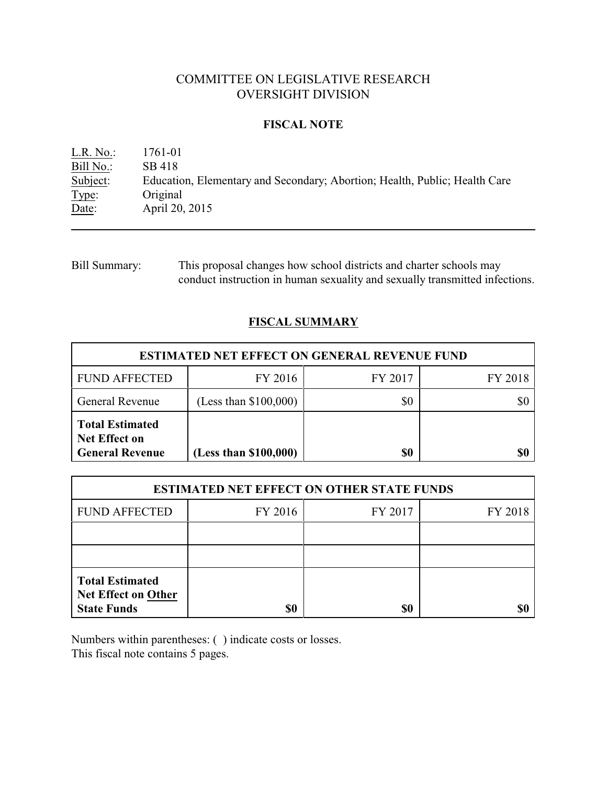# COMMITTEE ON LEGISLATIVE RESEARCH OVERSIGHT DIVISION

### **FISCAL NOTE**

L.R. No.: 1761-01 Bill No.: SB 418<br>Subject: Education Education, Elementary and Secondary; Abortion; Health, Public; Health Care Type: Original Date: **April 20, 2015** 

Bill Summary: This proposal changes how school districts and charter schools may conduct instruction in human sexuality and sexually transmitted infections.

## **FISCAL SUMMARY**

| <b>ESTIMATED NET EFFECT ON GENERAL REVENUE FUND</b>                      |                         |         |         |  |
|--------------------------------------------------------------------------|-------------------------|---------|---------|--|
| <b>FUND AFFECTED</b>                                                     | FY 2016                 | FY 2017 | FY 2018 |  |
| <b>General Revenue</b>                                                   | (Less than $$100,000$ ) | \$0     |         |  |
| <b>Total Estimated</b><br><b>Net Effect on</b><br><b>General Revenue</b> | (Less than \$100,000)   | \$0     | \$0     |  |

| <b>ESTIMATED NET EFFECT ON OTHER STATE FUNDS</b>                           |         |         |         |  |
|----------------------------------------------------------------------------|---------|---------|---------|--|
| <b>FUND AFFECTED</b>                                                       | FY 2016 | FY 2017 | FY 2018 |  |
|                                                                            |         |         |         |  |
|                                                                            |         |         |         |  |
| <b>Total Estimated</b><br><b>Net Effect on Other</b><br><b>State Funds</b> | \$0     | \$0     |         |  |

Numbers within parentheses: ( ) indicate costs or losses. This fiscal note contains 5 pages.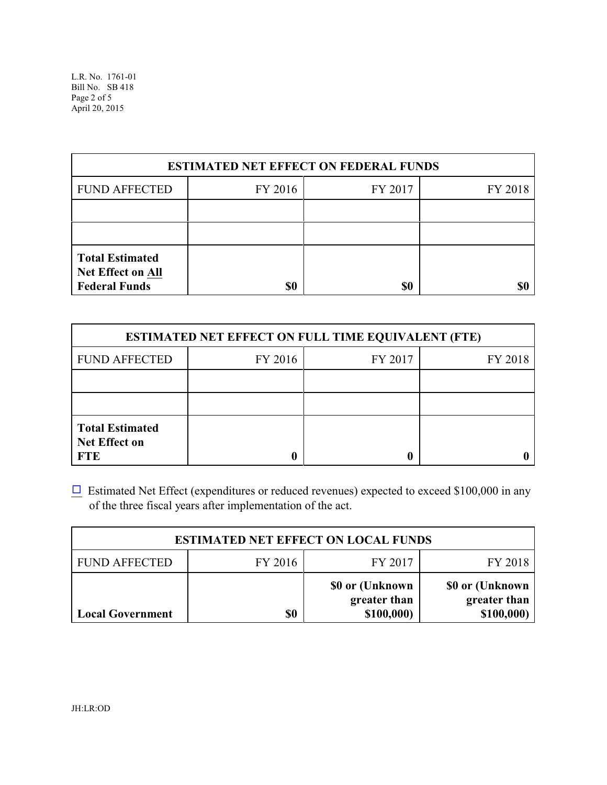L.R. No. 1761-01 Bill No. SB 418 Page 2 of 5 April 20, 2015

| <b>ESTIMATED NET EFFECT ON FEDERAL FUNDS</b>                               |         |         |         |  |
|----------------------------------------------------------------------------|---------|---------|---------|--|
| <b>FUND AFFECTED</b>                                                       | FY 2016 | FY 2017 | FY 2018 |  |
|                                                                            |         |         |         |  |
|                                                                            |         |         |         |  |
| <b>Total Estimated</b><br><b>Net Effect on All</b><br><b>Federal Funds</b> | \$0     | \$0     |         |  |

| <b>ESTIMATED NET EFFECT ON FULL TIME EQUIVALENT (FTE)</b>    |         |         |         |  |
|--------------------------------------------------------------|---------|---------|---------|--|
| <b>FUND AFFECTED</b>                                         | FY 2016 | FY 2017 | FY 2018 |  |
|                                                              |         |         |         |  |
|                                                              |         |         |         |  |
| <b>Total Estimated</b><br><b>Net Effect on</b><br><b>FTE</b> |         |         |         |  |

 $\Box$  Estimated Net Effect (expenditures or reduced revenues) expected to exceed \$100,000 in any of the three fiscal years after implementation of the act.

| <b>ESTIMATED NET EFFECT ON LOCAL FUNDS</b> |         |                                                |                                                |  |
|--------------------------------------------|---------|------------------------------------------------|------------------------------------------------|--|
| <b>FUND AFFECTED</b>                       | FY 2016 | FY 2017                                        | FY 2018                                        |  |
| <b>Local Government</b>                    | \$0     | \$0 or (Unknown)<br>greater than<br>\$100,000) | \$0 or (Unknown)<br>greater than<br>\$100,000) |  |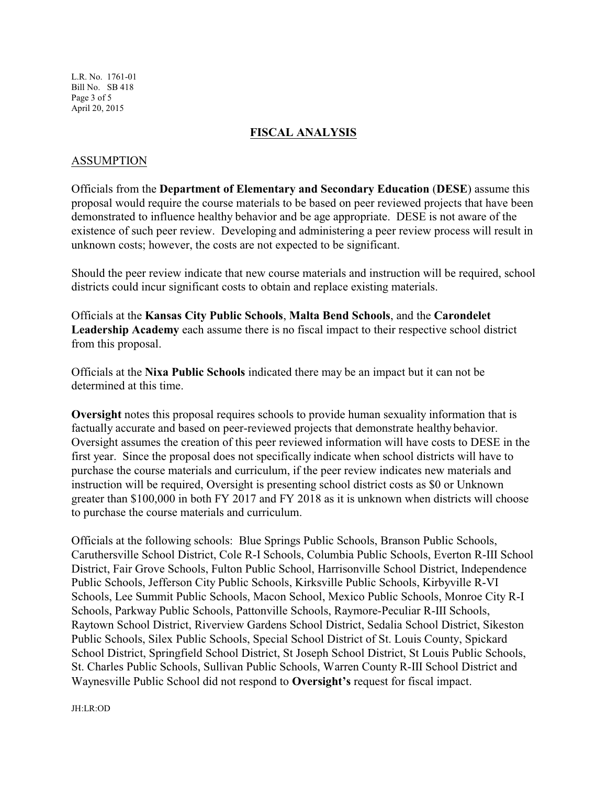L.R. No. 1761-01 Bill No. SB 418 Page 3 of 5 April 20, 2015

#### **FISCAL ANALYSIS**

#### ASSUMPTION

Officials from the **Department of Elementary and Secondary Education** (**DESE**) assume this proposal would require the course materials to be based on peer reviewed projects that have been demonstrated to influence healthy behavior and be age appropriate. DESE is not aware of the existence of such peer review. Developing and administering a peer review process will result in unknown costs; however, the costs are not expected to be significant.

Should the peer review indicate that new course materials and instruction will be required, school districts could incur significant costs to obtain and replace existing materials.

Officials at the **Kansas City Public Schools**, **Malta Bend Schools**, and the **Carondelet Leadership Academy** each assume there is no fiscal impact to their respective school district from this proposal.

Officials at the **Nixa Public Schools** indicated there may be an impact but it can not be determined at this time.

**Oversight** notes this proposal requires schools to provide human sexuality information that is factually accurate and based on peer-reviewed projects that demonstrate healthy behavior. Oversight assumes the creation of this peer reviewed information will have costs to DESE in the first year. Since the proposal does not specifically indicate when school districts will have to purchase the course materials and curriculum, if the peer review indicates new materials and instruction will be required, Oversight is presenting school district costs as \$0 or Unknown greater than \$100,000 in both FY 2017 and FY 2018 as it is unknown when districts will choose to purchase the course materials and curriculum.

Officials at the following schools: Blue Springs Public Schools, Branson Public Schools, Caruthersville School District, Cole R-I Schools, Columbia Public Schools, Everton R-III School District, Fair Grove Schools, Fulton Public School, Harrisonville School District, Independence Public Schools, Jefferson City Public Schools, Kirksville Public Schools, Kirbyville R-VI Schools, Lee Summit Public Schools, Macon School, Mexico Public Schools, Monroe City R-I Schools, Parkway Public Schools, Pattonville Schools, Raymore-Peculiar R-III Schools, Raytown School District, Riverview Gardens School District, Sedalia School District, Sikeston Public Schools, Silex Public Schools, Special School District of St. Louis County, Spickard School District, Springfield School District, St Joseph School District, St Louis Public Schools, St. Charles Public Schools, Sullivan Public Schools, Warren County R-III School District and Waynesville Public School did not respond to **Oversight's** request for fiscal impact.

JH:LR:OD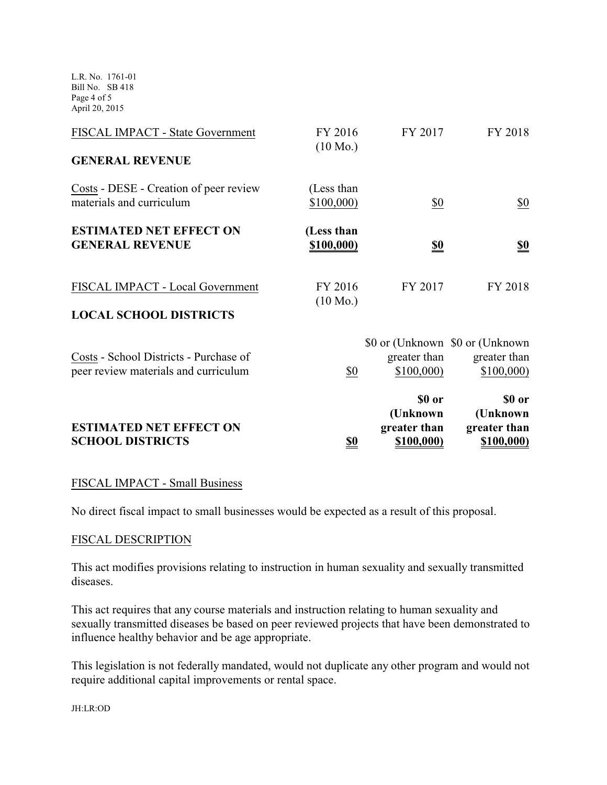L.R. No. 1761-01 Bill No. SB 418 Page 4 of 5 April 20, 2015

| FISCAL IMPACT - State Government                                               | FY 2016<br>$(10 \text{ Mo.})$   | FY 2017                                           | FY 2018                                                       |
|--------------------------------------------------------------------------------|---------------------------------|---------------------------------------------------|---------------------------------------------------------------|
| <b>GENERAL REVENUE</b>                                                         |                                 |                                                   |                                                               |
| Costs - DESE - Creation of peer review<br>materials and curriculum             | (Less than<br>\$100,000         | $\frac{$0}{}$                                     | $\underline{\$0}$                                             |
| <b>ESTIMATED NET EFFECT ON</b><br><b>GENERAL REVENUE</b>                       | (Less than<br><u>\$100,000)</u> | <u>\$0</u>                                        | <u>\$0</u>                                                    |
| FISCAL IMPACT - Local Government<br><b>LOCAL SCHOOL DISTRICTS</b>              | FY 2016<br>$(10 \text{ Mo.})$   | FY 2017                                           | FY 2018                                                       |
| Costs - School Districts - Purchase of<br>peer review materials and curriculum | \$0                             | greater than<br>\$100,000                         | \$0 or (Unknown \$0 or (Unknown)<br>greater than<br>\$100,000 |
| <b>ESTIMATED NET EFFECT ON</b><br><b>SCHOOL DISTRICTS</b>                      | <u>\$0</u>                      | \$0 or<br>(Unknown)<br>greater than<br>\$100,000) | \$0 or<br>(Unknown)<br>greater than<br>\$100,000)             |

## FISCAL IMPACT - Small Business

No direct fiscal impact to small businesses would be expected as a result of this proposal.

#### FISCAL DESCRIPTION

This act modifies provisions relating to instruction in human sexuality and sexually transmitted diseases.

This act requires that any course materials and instruction relating to human sexuality and sexually transmitted diseases be based on peer reviewed projects that have been demonstrated to influence healthy behavior and be age appropriate.

This legislation is not federally mandated, would not duplicate any other program and would not require additional capital improvements or rental space.

JH:LR:OD